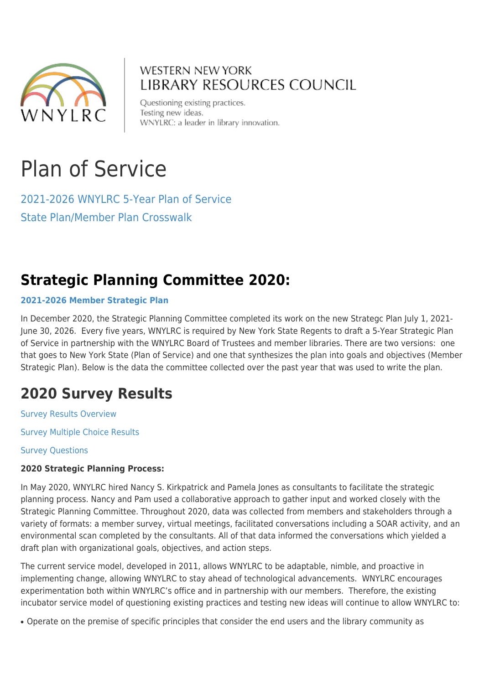

### **WESTERN NEW YORK LIBRARY RESOURCES COUNCIL**

Questioning existing practices. Testing new ideas. WNYLRC: a leader in library innovation.

# Plan of Service

[2021-2026 WNYLRC 5-Year Plan of Service](http://www.wnylrc.org/uploads/final_1_26_2021.pdf) [State Plan/Member Plan Crosswalk](http://www.wnylrc.org/uploads/documents/about-wnylrc/Crosswalk_for_web.pdf)

## **Strategic Planning Committee 2020:**

#### **[2021-2026 Member Strategic Plan](http://www.wnylrc.org/uploads/documents/about-wnylrc/2021/WNYLRC_Plan_Final_1_26_20211.pdf)**

In December 2020, the Strategic Planning Committee completed its work on the new Strategc Plan July 1, 2021- June 30, 2026. Every five years, WNYLRC is required by New York State Regents to draft a 5-Year Strategic Plan of Service in partnership with the WNYLRC Board of Trustees and member libraries. There are two versions: one that goes to New York State (Plan of Service) and one that synthesizes the plan into goals and objectives (Member Strategic Plan). Below is the data the committee collected over the past year that was used to write the plan.

### **2020 Survey Results**

[Survey Results Overview](http://www.wnylrc.org/uploads/documents/about-wnylrc/2020/WNYLRC_Survey_Overview.pdf)

[Survey Multiple Choice Results](http://www.wnylrc.org/uploads/documents/about-wnylrc/2020/WNYLRC_Survey_Final_q1-7.pdf)

[Survey Questions](http://www.wnylrc.org/uploads/documents/about-wnylrc/2020/WNYLRC_SurveyPrint_PDF.pdf)

#### **2020 Strategic Planning Process:**

In May 2020, WNYLRC hired Nancy S. Kirkpatrick and Pamela Jones as consultants to facilitate the strategic planning process. Nancy and Pam used a collaborative approach to gather input and worked closely with the Strategic Planning Committee. Throughout 2020, data was collected from members and stakeholders through a variety of formats: a member survey, virtual meetings, facilitated conversations including a SOAR activity, and an environmental scan completed by the consultants. All of that data informed the conversations which yielded a draft plan with organizational goals, objectives, and action steps.

The current service model, developed in 2011, allows WNYLRC to be adaptable, nimble, and proactive in implementing change, allowing WNYLRC to stay ahead of technological advancements. WNYLRC encourages experimentation both within WNYLRC's office and in partnership with our members. Therefore, the existing incubator service model of questioning existing practices and testing new ideas will continue to allow WNYLRC to:

• Operate on the premise of specific principles that consider the end users and the library community as